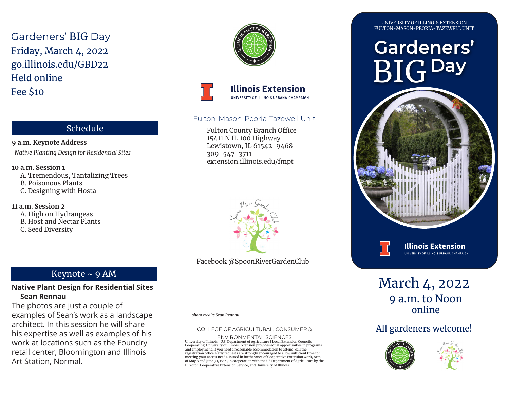Gardeners' BIG Day Friday, March 4, 2022 go.illinois.edu/GBD22 Held online Fee \$10

**9 a.m. Keynote Address**

B. Poisonous Plants C. Designing with Hosta

A. High on Hydrangeas B. Host and Nectar Plants

C. Seed Diversity

**10 a.m. Session 1**

**11 a.m. Session 2**

*Native Planting Design for Residential Sites*

Schedule

A. Tremendous, Tantalizing Trees





### Fulton-Mason-Peoria-Tazewell Unit

Fulton County Branch Office 15411 N IL 100 Highway Lewistown, IL 61542-9468 309-547-3711 extension.illinois.edu/fmpt



Facebook @SpoonRiverGardenClub

## Keynote ~ 9 AM

#### **Native Plant Design for Residential Sites Sean Rennau**

The photos are just a couple of examples of Sean's work as a landscape architect. In this session he will share his expertise as well as examples of his work at locations such as the Foundry retail center, Bloomington and Illinois Art Station, Normal.



*photo credits Sean Rennau*

#### COLLEGE OF AGRICULTURAL, CONSUMER &

ENVIRONMENTAL SCIENCES<br>University of Illinois | U.S. Department of Agriculture | Local Extension Councils<br>Cooperating University of Illinois Extension provides equal opportunities in programs<br>and employment. If you need a registration office. Early requests are strongly encouraged to allow sufficient time for meeting your access needs. Issued in furtherance of Cooperative Extension work, Acts of May 8 and June 30, 1914, in cooperation with the US Department of Agriculture by the Director, Cooperative Extension Service, and University of Illinois.

UNIVERSITY OF ILLINOIS EXTENSION FULTON-MASON-PEORIA-TAZEWELL UNIT

# **Gardeners'** BIG **Day**





March 4, 2022 9 a.m. to Noon online

## All gardeners welcome!